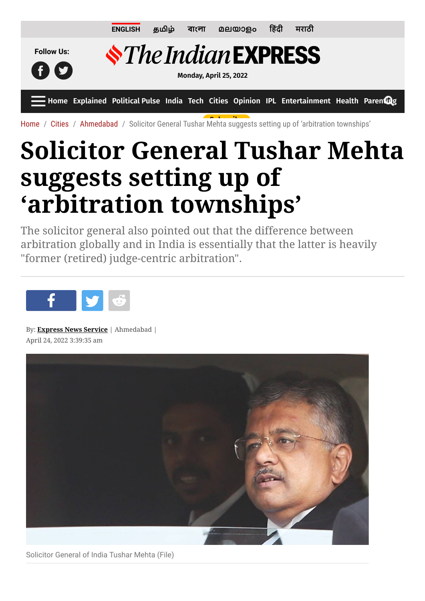

[Home](https://indianexpress.com/) / [Cities](https://indianexpress.com/section/cities/) / [Ahmedabad](https://indianexpress.com/section/cities/ahmedabad/) / So[licitor Gene](https://indianexpress.com/about/express-premium/)[ral Tush](https://indianexpress.com/audio/)[ar Mehta suggest](https://indianexpress.com/subscribe/)s [setting up](https://indianexpress.com/login/) of 'arbitration townships'

## **Solicitor General Tushar Mehta suggests setting up of 'arbitration townships'**

The solicitor general also pointed out that the difference between arbitration globally and in India is essentially that the latter is heavily "former (retired) judge-centric arbitration".



By: **[Express News Service](https://indianexpress.com/agency/express-news-service/)** | Ahmedabad | April 24, 2022 3:39:35 am



Solicitor General of India Tushar Mehta (File)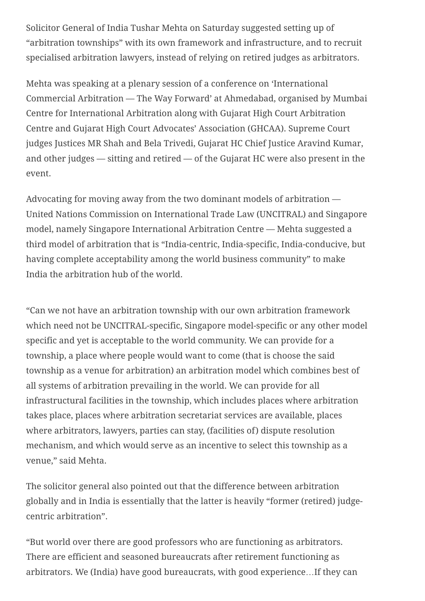Solicitor General of India Tushar Mehta on Saturday suggested setting up of "arbitration townships" with its own framework and infrastructure, and to recruit specialised arbitration lawyers, instead of relying on retired judges as arbitrators.

Mehta was speaking at a plenary session of a conference on 'International Commercial Arbitration — The Way Forward' at Ahmedabad, organised by Mumbai Centre for International Arbitration along with Gujarat High Court Arbitration Centre and Gujarat High Court Advocates' Association (GHCAA). Supreme Court judges Justices MR Shah and Bela Trivedi, Gujarat HC Chief Justice Aravind Kumar, and other judges — sitting and retired — of the Gujarat HC were also present in the event.

Advocating for moving away from the two dominant models of arbitration — United Nations Commission on International Trade Law (UNCITRAL) and Singapore model, namely Singapore International Arbitration Centre — Mehta suggested a third model of arbitration that is "India-centric, India-specific, India-conducive, but having complete acceptability among the world business community" to make India the arbitration hub of the world.

"Can we not have an arbitration township with our own arbitration framework which need not be UNCITRAL-specific, Singapore model-specific or any other model specific and yet is acceptable to the world community. We can provide for a township, a place where people would want to come (that is choose the said township as a venue for arbitration) an arbitration model which combines best of all systems of arbitration prevailing in the world. We can provide for all infrastructural facilities in the township, which includes places where arbitration takes place, places where arbitration secretariat services are available, places where arbitrators, lawyers, parties can stay, (facilities of) dispute resolution mechanism, and which would serve as an incentive to select this township as a venue," said Mehta.

The solicitor general also pointed out that the difference between arbitration globally and in India is essentially that the latter is heavily "former (retired) judgecentric arbitration".

"But world over there are good professors who are functioning as arbitrators. There are efficient and seasoned bureaucrats after retirement functioning as arbitrators. We (India) have good bureaucrats, with good experience…If they can